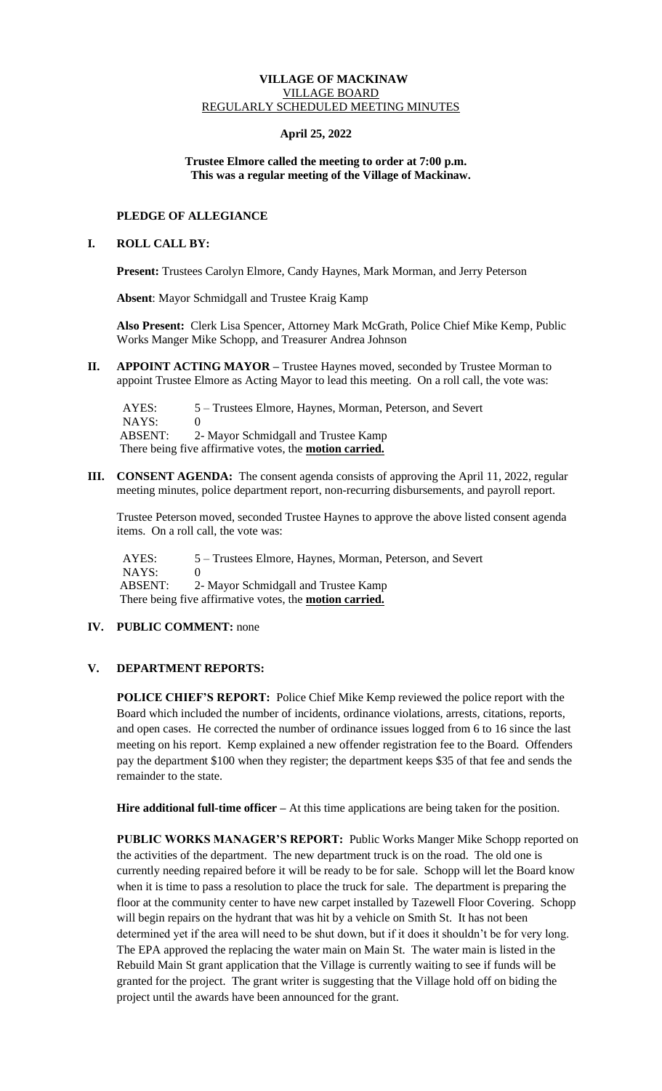## **VILLAGE OF MACKINAW** VILLAGE BOARD REGULARLY SCHEDULED MEETING MINUTES

# **April 25, 2022**

### **Trustee Elmore called the meeting to order at 7:00 p.m. This was a regular meeting of the Village of Mackinaw.**

# **PLEDGE OF ALLEGIANCE**

### **I. ROLL CALL BY:**

**Present:** Trustees Carolyn Elmore, Candy Haynes, Mark Morman, and Jerry Peterson

 **Absent**: Mayor Schmidgall and Trustee Kraig Kamp

**Also Present:** Clerk Lisa Spencer, Attorney Mark McGrath, Police Chief Mike Kemp, Public Works Manger Mike Schopp, and Treasurer Andrea Johnson

**II. APPOINT ACTING MAYOR –** Trustee Haynes moved, seconded by Trustee Morman to appoint Trustee Elmore as Acting Mayor to lead this meeting. On a roll call, the vote was:

 AYES: 5 – Trustees Elmore, Haynes, Morman, Peterson, and Severt NAYS: 0 ABSENT: 2- Mayor Schmidgall and Trustee Kamp There being five affirmative votes, the **motion carried.**

**III. CONSENT AGENDA:** The consent agenda consists of approving the April 11, 2022, regular meeting minutes, police department report, non-recurring disbursements, and payroll report.

Trustee Peterson moved, seconded Trustee Haynes to approve the above listed consent agenda items. On a roll call, the vote was:

AYES: 5 – Trustees Elmore, Haynes, Morman, Peterson, and Severt  $NAYS: 0$ ABSENT: 2- Mayor Schmidgall and Trustee Kamp There being five affirmative votes, the **motion carried.**

# **IV. PUBLIC COMMENT:** none

# **V. DEPARTMENT REPORTS:**

**POLICE CHIEF'S REPORT:** Police Chief Mike Kemp reviewed the police report with the Board which included the number of incidents, ordinance violations, arrests, citations, reports, and open cases. He corrected the number of ordinance issues logged from 6 to 16 since the last meeting on his report. Kemp explained a new offender registration fee to the Board. Offenders pay the department \$100 when they register; the department keeps \$35 of that fee and sends the remainder to the state.

**Hire additional full-time officer –** At this time applications are being taken for the position.

**PUBLIC WORKS MANAGER'S REPORT:** Public Works Manger Mike Schopp reported on the activities of the department. The new department truck is on the road. The old one is currently needing repaired before it will be ready to be for sale. Schopp will let the Board know when it is time to pass a resolution to place the truck for sale. The department is preparing the floor at the community center to have new carpet installed by Tazewell Floor Covering. Schopp will begin repairs on the hydrant that was hit by a vehicle on Smith St. It has not been determined yet if the area will need to be shut down, but if it does it shouldn't be for very long. The EPA approved the replacing the water main on Main St. The water main is listed in the Rebuild Main St grant application that the Village is currently waiting to see if funds will be granted for the project. The grant writer is suggesting that the Village hold off on biding the project until the awards have been announced for the grant.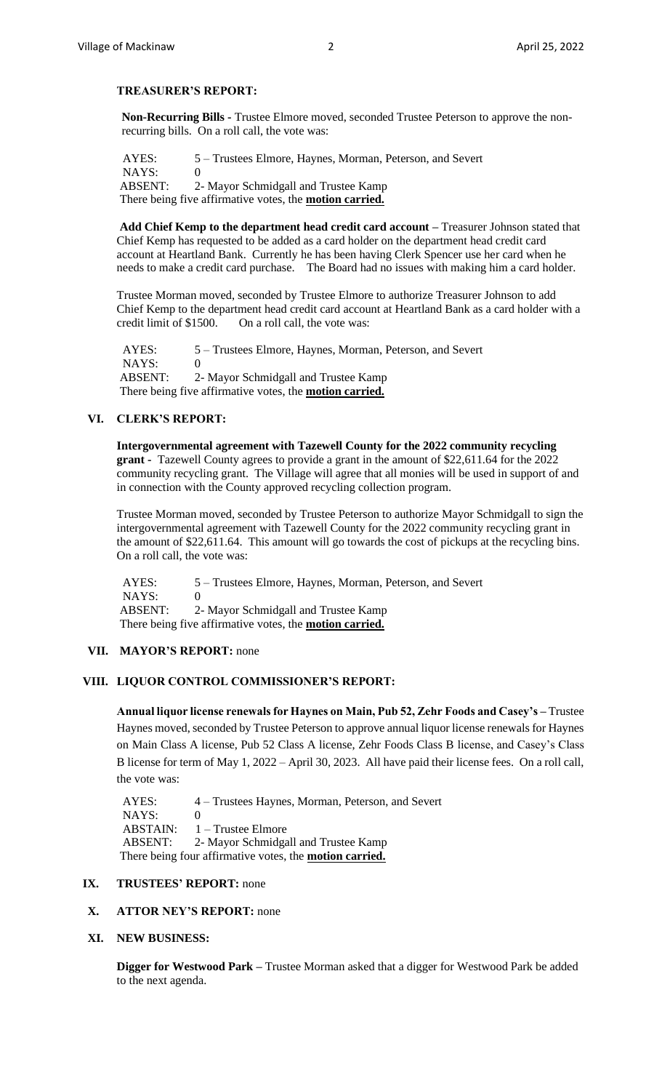## **TREASURER'S REPORT:**

**Non-Recurring Bills -** Trustee Elmore moved, seconded Trustee Peterson to approve the nonrecurring bills. On a roll call, the vote was:

 AYES: 5 – Trustees Elmore, Haynes, Morman, Peterson, and Severt NAYS: 0 ABSENT: 2- Mayor Schmidgall and Trustee Kamp There being five affirmative votes, the **motion carried.**

**Add Chief Kemp to the department head credit card account –** Treasurer Johnson stated that Chief Kemp has requested to be added as a card holder on the department head credit card account at Heartland Bank. Currently he has been having Clerk Spencer use her card when he needs to make a credit card purchase. The Board had no issues with making him a card holder.

Trustee Morman moved, seconded by Trustee Elmore to authorize Treasurer Johnson to add Chief Kemp to the department head credit card account at Heartland Bank as a card holder with a credit limit of \$1500. On a roll call, the vote was:

 AYES: 5 – Trustees Elmore, Haynes, Morman, Peterson, and Severt NAYS: ABSENT: 2- Mayor Schmidgall and Trustee Kamp There being five affirmative votes, the **motion carried.**

# **VI. CLERK'S REPORT:**

**Intergovernmental agreement with Tazewell County for the 2022 community recycling grant -** Tazewell County agrees to provide a grant in the amount of \$22,611.64 for the 2022 community recycling grant. The Village will agree that all monies will be used in support of and in connection with the County approved recycling collection program.

Trustee Morman moved, seconded by Trustee Peterson to authorize Mayor Schmidgall to sign the intergovernmental agreement with Tazewell County for the 2022 community recycling grant in the amount of \$22,611.64. This amount will go towards the cost of pickups at the recycling bins. On a roll call, the vote was:

 AYES: 5 – Trustees Elmore, Haynes, Morman, Peterson, and Severt NAYS: 0 ABSENT: 2- Mayor Schmidgall and Trustee Kamp There being five affirmative votes, the **motion carried.**

# **VII. MAYOR'S REPORT:** none

#### **VIII. LIQUOR CONTROL COMMISSIONER'S REPORT:**

**Annual liquor license renewals for Haynes on Main, Pub 52, Zehr Foods and Casey's –** Trustee Haynes moved, seconded by Trustee Peterson to approve annual liquor license renewals for Haynes on Main Class A license, Pub 52 Class A license, Zehr Foods Class B license, and Casey's Class B license for term of May 1, 2022 – April 30, 2023. All have paid their license fees. On a roll call, the vote was:

 AYES: 4 – Trustees Haynes, Morman, Peterson, and Severt NAYS: 0 ABSTAIN: 1 – Trustee Elmore ABSENT: 2- Mayor Schmidgall and Trustee Kamp There being four affirmative votes, the **motion carried.**

### **IX. TRUSTEES' REPORT:** none

### **X. ATTOR NEY'S REPORT:** none

#### **XI. NEW BUSINESS:**

**Digger for Westwood Park –** Trustee Morman asked that a digger for Westwood Park be added to the next agenda.